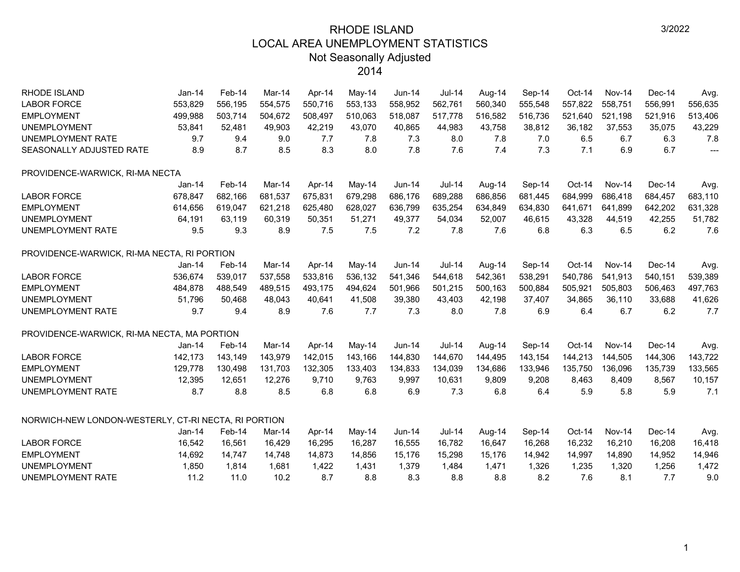| <b>RHODE ISLAND</b>                                  | $Jan-14$ | Feb-14  | Mar-14  | Apr-14  | May-14  | $Jun-14$      | <b>Jul-14</b> | Aug-14  | Sep-14  | $Oct-14$ | Nov-14        | Dec-14  |                          |
|------------------------------------------------------|----------|---------|---------|---------|---------|---------------|---------------|---------|---------|----------|---------------|---------|--------------------------|
|                                                      |          |         |         |         |         |               |               |         |         |          |               |         | Avg.                     |
| <b>LABOR FORCE</b>                                   | 553,829  | 556,195 | 554,575 | 550,716 | 553,133 | 558,952       | 562,761       | 560,340 | 555,548 | 557,822  | 558,751       | 556,991 | 556,635                  |
| <b>EMPLOYMENT</b>                                    | 499,988  | 503,714 | 504,672 | 508,497 | 510,063 | 518,087       | 517,778       | 516,582 | 516,736 | 521,640  | 521,198       | 521,916 | 513,406                  |
| <b>UNEMPLOYMENT</b>                                  | 53,841   | 52,481  | 49,903  | 42,219  | 43,070  | 40,865        | 44,983        | 43,758  | 38,812  | 36,182   | 37,553        | 35,075  | 43,229                   |
| <b>UNEMPLOYMENT RATE</b>                             | 9.7      | 9.4     | 9.0     | 7.7     | 7.8     | 7.3           | 8.0           | 7.8     | 7.0     | 6.5      | 6.7           | 6.3     | 7.8                      |
| SEASONALLY ADJUSTED RATE                             | 8.9      | 8.7     | 8.5     | 8.3     | 8.0     | 7.8           | 7.6           | 7.4     | 7.3     | 7.1      | 6.9           | 6.7     | $\overline{\phantom{a}}$ |
| PROVIDENCE-WARWICK, RI-MA NECTA                      |          |         |         |         |         |               |               |         |         |          |               |         |                          |
|                                                      | $Jan-14$ | Feb-14  | Mar-14  | Apr-14  | May-14  | $Jun-14$      | <b>Jul-14</b> | Aug-14  | Sep-14  | Oct-14   | <b>Nov-14</b> | Dec-14  | Avg.                     |
| <b>LABOR FORCE</b>                                   | 678,847  | 682,166 | 681,537 | 675,831 | 679,298 | 686,176       | 689,288       | 686,856 | 681,445 | 684,999  | 686,418       | 684,457 | 683,110                  |
| <b>EMPLOYMENT</b>                                    | 614,656  | 619,047 | 621,218 | 625,480 | 628,027 | 636,799       | 635,254       | 634,849 | 634,830 | 641,671  | 641,899       | 642,202 | 631,328                  |
| <b>UNEMPLOYMENT</b>                                  | 64,191   | 63,119  | 60,319  | 50,351  | 51,271  | 49,377        | 54,034        | 52,007  | 46,615  | 43,328   | 44,519        | 42,255  | 51,782                   |
| UNEMPLOYMENT RATE                                    | 9.5      | 9.3     | 8.9     | 7.5     | 7.5     | 7.2           | 7.8           | 7.6     | 6.8     | 6.3      | 6.5           | 6.2     | 7.6                      |
| PROVIDENCE-WARWICK, RI-MA NECTA, RI PORTION          |          |         |         |         |         |               |               |         |         |          |               |         |                          |
|                                                      | $Jan-14$ | Feb-14  | Mar-14  | Apr-14  | May-14  | $Jun-14$      | <b>Jul-14</b> | Aug-14  | Sep-14  | Oct-14   | Nov-14        | Dec-14  | Avg.                     |
| <b>LABOR FORCE</b>                                   | 536,674  | 539,017 | 537,558 | 533,816 | 536,132 | 541,346       | 544,618       | 542,361 | 538,291 | 540,786  | 541,913       | 540,151 | 539,389                  |
| <b>EMPLOYMENT</b>                                    | 484,878  | 488,549 | 489,515 | 493,175 | 494,624 | 501,966       | 501,215       | 500,163 | 500,884 | 505,921  | 505,803       | 506,463 | 497,763                  |
| <b>UNEMPLOYMENT</b>                                  | 51,796   | 50,468  | 48,043  | 40,641  | 41,508  | 39,380        | 43,403        | 42,198  | 37,407  | 34,865   | 36,110        | 33,688  | 41,626                   |
| UNEMPLOYMENT RATE                                    | 9.7      | 9.4     | 8.9     | 7.6     | 7.7     | 7.3           | 8.0           | 7.8     | 6.9     | 6.4      | 6.7           | 6.2     | 7.7                      |
| PROVIDENCE-WARWICK, RI-MA NECTA, MA PORTION          |          |         |         |         |         |               |               |         |         |          |               |         |                          |
|                                                      | $Jan-14$ | Feb-14  | Mar-14  | Apr-14  | May-14  | <b>Jun-14</b> | $Jul-14$      | Aug-14  | Sep-14  | Oct-14   | <b>Nov-14</b> | Dec-14  | Avg.                     |
| <b>LABOR FORCE</b>                                   | 142,173  | 143,149 | 143,979 | 142,015 | 143,166 | 144,830       | 144,670       | 144,495 | 143,154 | 144,213  | 144,505       | 144,306 | 143,722                  |
| <b>EMPLOYMENT</b>                                    | 129,778  | 130,498 | 131,703 | 132,305 | 133,403 | 134,833       | 134,039       | 134,686 | 133,946 | 135,750  | 136,096       | 135,739 | 133,565                  |
| <b>UNEMPLOYMENT</b>                                  | 12,395   | 12,651  | 12,276  | 9,710   | 9,763   | 9,997         | 10,631        | 9,809   | 9,208   | 8,463    | 8,409         | 8,567   | 10,157                   |
| UNEMPLOYMENT RATE                                    | 8.7      | 8.8     | 8.5     | 6.8     | 6.8     | 6.9           | 7.3           | 6.8     | 6.4     | 5.9      | 5.8           | 5.9     | 7.1                      |
| NORWICH-NEW LONDON-WESTERLY, CT-RI NECTA, RI PORTION |          |         |         |         |         |               |               |         |         |          |               |         |                          |
|                                                      | $Jan-14$ | Feb-14  | Mar-14  | Apr-14  | May-14  | Jun-14        | $Jul-14$      | Aug-14  | Sep-14  | Oct-14   | <b>Nov-14</b> | Dec-14  | Avg.                     |
| <b>LABOR FORCE</b>                                   | 16,542   | 16,561  | 16,429  | 16,295  | 16,287  | 16,555        | 16,782        | 16,647  | 16,268  | 16,232   | 16,210        | 16,208  | 16,418                   |
| <b>EMPLOYMENT</b>                                    | 14,692   | 14,747  | 14,748  | 14,873  | 14,856  | 15,176        | 15,298        | 15,176  | 14,942  | 14,997   | 14,890        | 14,952  | 14,946                   |
| <b>UNEMPLOYMENT</b>                                  | 1,850    | 1,814   | 1,681   | 1,422   | 1,431   | 1,379         | 1,484         | 1,471   | 1,326   | 1,235    | 1,320         | 1,256   | 1,472                    |
| <b>UNEMPLOYMENT RATE</b>                             | 11.2     | 11.0    | 10.2    | 8.7     | 8.8     | 8.3           | 8.8           | 8.8     | 8.2     | 7.6      | 8.1           | 7.7     | 9.0                      |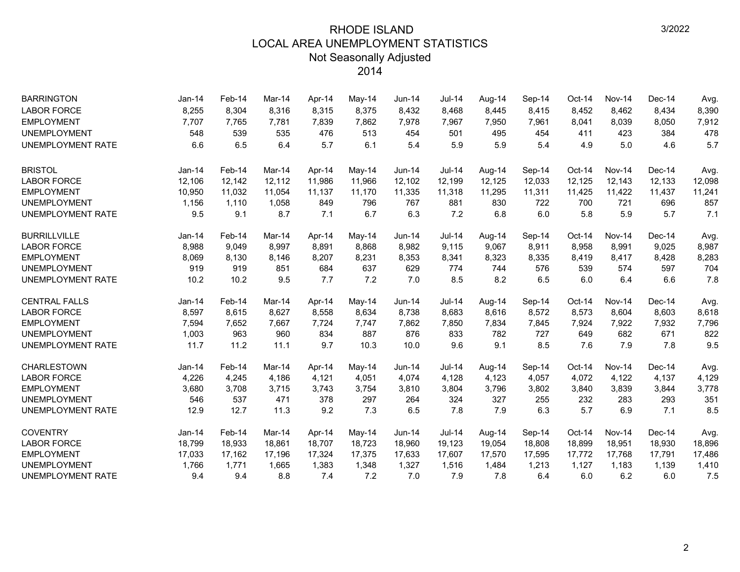| <b>BARRINGTON</b>        | Jan-14   | Feb-14 | Mar-14 | Apr-14 | $May-14$ | $Jun-14$      | <b>Jul-14</b> | Aug-14 | Sep-14 | $Oct-14$ | Nov-14        | Dec-14 | Avg.   |
|--------------------------|----------|--------|--------|--------|----------|---------------|---------------|--------|--------|----------|---------------|--------|--------|
| <b>LABOR FORCE</b>       | 8,255    | 8,304  | 8,316  | 8,315  | 8,375    | 8,432         | 8,468         | 8,445  | 8,415  | 8,452    | 8,462         | 8,434  | 8,390  |
| <b>EMPLOYMENT</b>        | 7,707    | 7,765  | 7,781  | 7,839  | 7,862    | 7,978         | 7,967         | 7,950  | 7,961  | 8,041    | 8,039         | 8,050  | 7,912  |
| <b>UNEMPLOYMENT</b>      | 548      | 539    | 535    | 476    | 513      | 454           | 501           | 495    | 454    | 411      | 423           | 384    | 478    |
| UNEMPLOYMENT RATE        | 6.6      | 6.5    | 6.4    | 5.7    | 6.1      | 5.4           | 5.9           | 5.9    | 5.4    | 4.9      | 5.0           | 4.6    | 5.7    |
| <b>BRISTOL</b>           | $Jan-14$ | Feb-14 | Mar-14 | Apr-14 | May-14   | <b>Jun-14</b> | $Jul-14$      | Aug-14 | Sep-14 | Oct-14   | <b>Nov-14</b> | Dec-14 | Avg.   |
| <b>LABOR FORCE</b>       | 12,106   | 12,142 | 12,112 | 11,986 | 11,966   | 12,102        | 12,199        | 12,125 | 12,033 | 12,125   | 12,143        | 12,133 | 12,098 |
| <b>EMPLOYMENT</b>        | 10,950   | 11,032 | 11,054 | 11,137 | 11,170   | 11,335        | 11,318        | 11,295 | 11,311 | 11,425   | 11,422        | 11,437 | 11,241 |
| <b>UNEMPLOYMENT</b>      | 1,156    | 1,110  | 1,058  | 849    | 796      | 767           | 881           | 830    | 722    | 700      | 721           | 696    | 857    |
| <b>UNEMPLOYMENT RATE</b> | 9.5      | 9.1    | 8.7    | 7.1    | 6.7      | 6.3           | 7.2           | 6.8    | 6.0    | 5.8      | 5.9           | 5.7    | 7.1    |
| <b>BURRILLVILLE</b>      | $Jan-14$ | Feb-14 | Mar-14 | Apr-14 | May-14   | <b>Jun-14</b> | $Jul-14$      | Aug-14 | Sep-14 | Oct-14   | Nov-14        | Dec-14 | Avg.   |
| <b>LABOR FORCE</b>       | 8,988    | 9,049  | 8,997  | 8,891  | 8,868    | 8,982         | 9,115         | 9,067  | 8,911  | 8,958    | 8,991         | 9,025  | 8,987  |
| <b>EMPLOYMENT</b>        | 8,069    | 8,130  | 8,146  | 8,207  | 8,231    | 8,353         | 8,341         | 8,323  | 8,335  | 8,419    | 8,417         | 8,428  | 8,283  |
| <b>UNEMPLOYMENT</b>      | 919      | 919    | 851    | 684    | 637      | 629           | 774           | 744    | 576    | 539      | 574           | 597    | 704    |
| <b>UNEMPLOYMENT RATE</b> | 10.2     | 10.2   | 9.5    | 7.7    | 7.2      | 7.0           | 8.5           | 8.2    | 6.5    | 6.0      | 6.4           | 6.6    | 7.8    |
| <b>CENTRAL FALLS</b>     | $Jan-14$ | Feb-14 | Mar-14 | Apr-14 | May-14   | Jun-14        | <b>Jul-14</b> | Aug-14 | Sep-14 | Oct-14   | Nov-14        | Dec-14 | Avg.   |
| <b>LABOR FORCE</b>       | 8,597    | 8,615  | 8,627  | 8,558  | 8,634    | 8,738         | 8,683         | 8,616  | 8,572  | 8,573    | 8,604         | 8,603  | 8,618  |
| <b>EMPLOYMENT</b>        | 7,594    | 7,652  | 7,667  | 7,724  | 7,747    | 7,862         | 7,850         | 7,834  | 7,845  | 7,924    | 7,922         | 7,932  | 7,796  |
| <b>UNEMPLOYMENT</b>      | 1,003    | 963    | 960    | 834    | 887      | 876           | 833           | 782    | 727    | 649      | 682           | 671    | 822    |
| <b>UNEMPLOYMENT RATE</b> | 11.7     | 11.2   | 11.1   | 9.7    | 10.3     | 10.0          | 9.6           | 9.1    | 8.5    | 7.6      | 7.9           | 7.8    | 9.5    |
| <b>CHARLESTOWN</b>       | Jan-14   | Feb-14 | Mar-14 | Apr-14 | May-14   | <b>Jun-14</b> | <b>Jul-14</b> | Aug-14 | Sep-14 | Oct-14   | Nov-14        | Dec-14 | Avg.   |
| <b>LABOR FORCE</b>       | 4,226    | 4,245  | 4,186  | 4,121  | 4,051    | 4,074         | 4,128         | 4,123  | 4,057  | 4,072    | 4,122         | 4,137  | 4,129  |
| <b>EMPLOYMENT</b>        | 3,680    | 3,708  | 3,715  | 3,743  | 3,754    | 3,810         | 3,804         | 3,796  | 3,802  | 3,840    | 3,839         | 3,844  | 3,778  |
| <b>UNEMPLOYMENT</b>      | 546      | 537    | 471    | 378    | 297      | 264           | 324           | 327    | 255    | 232      | 283           | 293    | 351    |
| <b>UNEMPLOYMENT RATE</b> | 12.9     | 12.7   | 11.3   | 9.2    | 7.3      | 6.5           | 7.8           | 7.9    | 6.3    | 5.7      | 6.9           | 7.1    | 8.5    |
| <b>COVENTRY</b>          | Jan-14   | Feb-14 | Mar-14 | Apr-14 | May-14   | <b>Jun-14</b> | <b>Jul-14</b> | Aug-14 | Sep-14 | Oct-14   | Nov-14        | Dec-14 | Avg.   |
| <b>LABOR FORCE</b>       | 18,799   | 18,933 | 18,861 | 18,707 | 18,723   | 18,960        | 19,123        | 19,054 | 18,808 | 18,899   | 18,951        | 18,930 | 18,896 |
| <b>EMPLOYMENT</b>        | 17,033   | 17,162 | 17,196 | 17,324 | 17,375   | 17,633        | 17,607        | 17,570 | 17,595 | 17,772   | 17,768        | 17,791 | 17,486 |
| <b>UNEMPLOYMENT</b>      | 1,766    | 1,771  | 1,665  | 1,383  | 1,348    | 1,327         | 1,516         | 1,484  | 1,213  | 1,127    | 1,183         | 1,139  | 1,410  |
| UNEMPLOYMENT RATE        | 9.4      | 9.4    | 8.8    | 7.4    | 7.2      | 7.0           | 7.9           | 7.8    | 6.4    | 6.0      | 6.2           | 6.0    | 7.5    |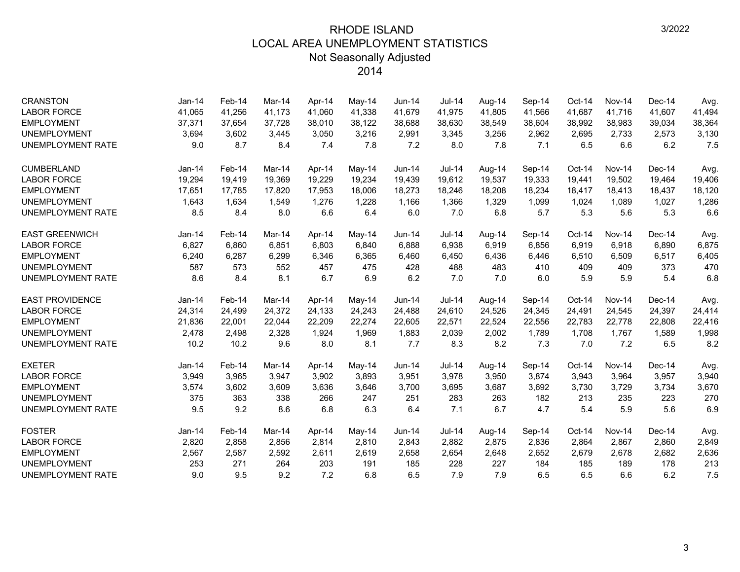| <b>CRANSTON</b>          | $Jan-14$ | Feb-14 | Mar-14 | Apr-14 | May-14   | Jun-14        | <b>Jul-14</b> | Aug-14 | Sep-14 | $Oct-14$ | Nov-14        | Dec-14   | Avg.   |
|--------------------------|----------|--------|--------|--------|----------|---------------|---------------|--------|--------|----------|---------------|----------|--------|
| <b>LABOR FORCE</b>       | 41,065   | 41,256 | 41,173 | 41,060 | 41,338   | 41,679        | 41,975        | 41,805 | 41,566 | 41,687   | 41,716        | 41,607   | 41,494 |
| <b>EMPLOYMENT</b>        | 37,371   | 37,654 | 37,728 | 38,010 | 38,122   | 38,688        | 38,630        | 38,549 | 38,604 | 38,992   | 38,983        | 39,034   | 38,364 |
| <b>UNEMPLOYMENT</b>      | 3,694    | 3,602  | 3,445  | 3,050  | 3,216    | 2,991         | 3,345         | 3,256  | 2,962  | 2,695    | 2,733         | 2,573    | 3,130  |
| <b>UNEMPLOYMENT RATE</b> | 9.0      | 8.7    | 8.4    | 7.4    | 7.8      | 7.2           | 8.0           | 7.8    | 7.1    | 6.5      | 6.6           | 6.2      | 7.5    |
| <b>CUMBERLAND</b>        | Jan-14   | Feb-14 | Mar-14 | Apr-14 | $May-14$ | Jun-14        | <b>Jul-14</b> | Aug-14 | Sep-14 | Oct-14   | <b>Nov-14</b> | $Dec-14$ | Avg.   |
| <b>LABOR FORCE</b>       | 19,294   | 19,419 | 19.369 | 19.229 | 19,234   | 19,439        | 19.612        | 19,537 | 19,333 | 19,441   | 19.502        | 19,464   | 19,406 |
| <b>EMPLOYMENT</b>        | 17,651   | 17,785 | 17,820 | 17,953 | 18,006   | 18,273        | 18,246        | 18,208 | 18,234 | 18,417   | 18,413        | 18,437   | 18,120 |
| <b>UNEMPLOYMENT</b>      | 1,643    | 1,634  | 1,549  | 1,276  | 1,228    | 1,166         | 1,366         | 1,329  | 1,099  | 1,024    | 1,089         | 1,027    | 1,286  |
| UNEMPLOYMENT RATE        | 8.5      | 8.4    | 8.0    | 6.6    | 6.4      | 6.0           | 7.0           | 6.8    | 5.7    | 5.3      | 5.6           | 5.3      | 6.6    |
| <b>EAST GREENWICH</b>    | $Jan-14$ | Feb-14 | Mar-14 | Apr-14 | May-14   | Jun-14        | Jul-14        | Aug-14 | Sep-14 | Oct-14   | $Nov-14$      | $Dec-14$ | Avg.   |
| <b>LABOR FORCE</b>       | 6,827    | 6,860  | 6,851  | 6,803  | 6,840    | 6,888         | 6,938         | 6,919  | 6,856  | 6,919    | 6,918         | 6,890    | 6,875  |
| <b>EMPLOYMENT</b>        | 6,240    | 6,287  | 6,299  | 6,346  | 6,365    | 6,460         | 6,450         | 6,436  | 6,446  | 6,510    | 6,509         | 6,517    | 6,405  |
| <b>UNEMPLOYMENT</b>      | 587      | 573    | 552    | 457    | 475      | 428           | 488           | 483    | 410    | 409      | 409           | 373      | 470    |
| <b>UNEMPLOYMENT RATE</b> | 8.6      | 8.4    | 8.1    | 6.7    | 6.9      | 6.2           | 7.0           | 7.0    | 6.0    | 5.9      | 5.9           | 5.4      | 6.8    |
| <b>EAST PROVIDENCE</b>   | $Jan-14$ | Feb-14 | Mar-14 | Apr-14 | May-14   | <b>Jun-14</b> | <b>Jul-14</b> | Aug-14 | Sep-14 | Oct-14   | $Nov-14$      | $Dec-14$ | Avg.   |
| <b>LABOR FORCE</b>       | 24,314   | 24,499 | 24,372 | 24,133 | 24,243   | 24,488        | 24,610        | 24,526 | 24,345 | 24,491   | 24,545        | 24,397   | 24,414 |
| <b>EMPLOYMENT</b>        | 21,836   | 22,001 | 22,044 | 22,209 | 22,274   | 22,605        | 22,571        | 22,524 | 22,556 | 22,783   | 22,778        | 22,808   | 22,416 |
| <b>UNEMPLOYMENT</b>      | 2,478    | 2,498  | 2,328  | 1,924  | 1,969    | 1,883         | 2,039         | 2,002  | 1,789  | 1,708    | 1,767         | 1,589    | 1,998  |
| UNEMPLOYMENT RATE        | 10.2     | 10.2   | 9.6    | 8.0    | 8.1      | 7.7           | 8.3           | 8.2    | 7.3    | 7.0      | 7.2           | 6.5      | 8.2    |
| <b>EXETER</b>            | Jan-14   | Feb-14 | Mar-14 | Apr-14 | May-14   | Jun-14        | Jul-14        | Aug-14 | Sep-14 | Oct-14   | <b>Nov-14</b> | $Dec-14$ | Avg.   |
| <b>LABOR FORCE</b>       | 3,949    | 3,965  | 3,947  | 3,902  | 3,893    | 3,951         | 3,978         | 3,950  | 3,874  | 3,943    | 3,964         | 3,957    | 3,940  |
| <b>EMPLOYMENT</b>        | 3,574    | 3,602  | 3,609  | 3,636  | 3,646    | 3,700         | 3,695         | 3,687  | 3,692  | 3,730    | 3,729         | 3,734    | 3,670  |
| <b>UNEMPLOYMENT</b>      | 375      | 363    | 338    | 266    | 247      | 251           | 283           | 263    | 182    | 213      | 235           | 223      | 270    |
| UNEMPLOYMENT RATE        | 9.5      | 9.2    | 8.6    | 6.8    | 6.3      | 6.4           | 7.1           | 6.7    | 4.7    | 5.4      | 5.9           | 5.6      | 6.9    |
| <b>FOSTER</b>            | $Jan-14$ | Feb-14 | Mar-14 | Apr-14 | May-14   | Jun-14        | Jul-14        | Aug-14 | Sep-14 | Oct-14   | <b>Nov-14</b> | $Dec-14$ | Avg.   |
| <b>LABOR FORCE</b>       | 2,820    | 2,858  | 2,856  | 2,814  | 2,810    | 2,843         | 2,882         | 2,875  | 2,836  | 2,864    | 2,867         | 2,860    | 2,849  |
| <b>EMPLOYMENT</b>        | 2,567    | 2,587  | 2,592  | 2,611  | 2,619    | 2,658         | 2,654         | 2,648  | 2,652  | 2,679    | 2,678         | 2,682    | 2,636  |
| <b>UNEMPLOYMENT</b>      | 253      | 271    | 264    | 203    | 191      | 185           | 228           | 227    | 184    | 185      | 189           | 178      | 213    |
| UNEMPLOYMENT RATE        | 9.0      | 9.5    | 9.2    | 7.2    | 6.8      | 6.5           | 7.9           | 7.9    | 6.5    | 6.5      | 6.6           | 6.2      | 7.5    |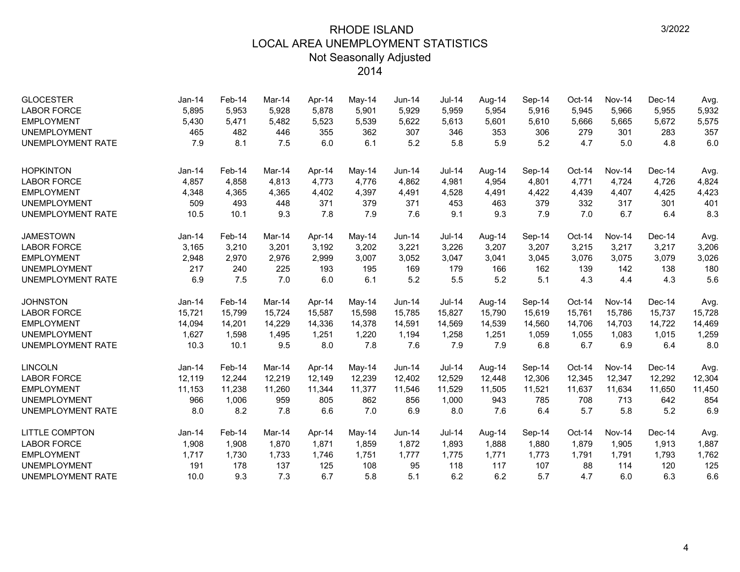| <b>GLOCESTER</b>         | $Jan-14$ | Feb-14 | Mar-14 | Apr-14 | May-14 | $Jun-14$ | <b>Jul-14</b> | Aug-14 | Sep-14 | Oct-14 | <b>Nov-14</b> | Dec-14   | Avg.   |
|--------------------------|----------|--------|--------|--------|--------|----------|---------------|--------|--------|--------|---------------|----------|--------|
| <b>LABOR FORCE</b>       | 5,895    | 5,953  | 5,928  | 5,878  | 5,901  | 5,929    | 5,959         | 5,954  | 5,916  | 5,945  | 5,966         | 5,955    | 5,932  |
| <b>EMPLOYMENT</b>        | 5,430    | 5,471  | 5,482  | 5,523  | 5,539  | 5,622    | 5,613         | 5,601  | 5,610  | 5,666  | 5,665         | 5,672    | 5,575  |
| <b>UNEMPLOYMENT</b>      | 465      | 482    | 446    | 355    | 362    | 307      | 346           | 353    | 306    | 279    | 301           | 283      | 357    |
| <b>UNEMPLOYMENT RATE</b> | 7.9      | 8.1    | 7.5    | 6.0    | 6.1    | 5.2      | 5.8           | 5.9    | 5.2    | 4.7    | 5.0           | 4.8      | 6.0    |
| <b>HOPKINTON</b>         | Jan-14   | Feb-14 | Mar-14 | Apr-14 | May-14 | Jun-14   | Jul-14        | Aug-14 | Sep-14 | Oct-14 | Nov-14        | $Dec-14$ | Avg.   |
| <b>LABOR FORCE</b>       | 4,857    | 4,858  | 4,813  | 4,773  | 4,776  | 4,862    | 4,981         | 4,954  | 4,801  | 4,771  | 4,724         | 4,726    | 4,824  |
| <b>EMPLOYMENT</b>        | 4,348    | 4,365  | 4,365  | 4,402  | 4,397  | 4,491    | 4,528         | 4,491  | 4,422  | 4,439  | 4,407         | 4,425    | 4,423  |
| <b>UNEMPLOYMENT</b>      | 509      | 493    | 448    | 371    | 379    | 371      | 453           | 463    | 379    | 332    | 317           | 301      | 401    |
| <b>UNEMPLOYMENT RATE</b> | 10.5     | 10.1   | 9.3    | 7.8    | 7.9    | 7.6      | 9.1           | 9.3    | 7.9    | 7.0    | 6.7           | 6.4      | 8.3    |
| <b>JAMESTOWN</b>         | Jan-14   | Feb-14 | Mar-14 | Apr-14 | May-14 | Jun-14   | Jul-14        | Aug-14 | Sep-14 | Oct-14 | Nov-14        | Dec-14   | Avg.   |
| <b>LABOR FORCE</b>       | 3,165    | 3,210  | 3,201  | 3,192  | 3,202  | 3,221    | 3,226         | 3,207  | 3,207  | 3,215  | 3,217         | 3,217    | 3,206  |
| <b>EMPLOYMENT</b>        | 2,948    | 2,970  | 2,976  | 2,999  | 3,007  | 3,052    | 3,047         | 3,041  | 3,045  | 3,076  | 3,075         | 3,079    | 3,026  |
| <b>UNEMPLOYMENT</b>      | 217      | 240    | 225    | 193    | 195    | 169      | 179           | 166    | 162    | 139    | 142           | 138      | 180    |
| UNEMPLOYMENT RATE        | 6.9      | 7.5    | 7.0    | 6.0    | 6.1    | 5.2      | 5.5           | 5.2    | 5.1    | 4.3    | 4.4           | 4.3      | 5.6    |
| <b>JOHNSTON</b>          | Jan-14   | Feb-14 | Mar-14 | Apr-14 | May-14 | Jun-14   | <b>Jul-14</b> | Aug-14 | Sep-14 | Oct-14 | Nov-14        | $Dec-14$ | Avg.   |
| <b>LABOR FORCE</b>       | 15,721   | 15,799 | 15,724 | 15,587 | 15,598 | 15,785   | 15,827        | 15,790 | 15,619 | 15,761 | 15,786        | 15,737   | 15,728 |
| <b>EMPLOYMENT</b>        | 14,094   | 14,201 | 14,229 | 14,336 | 14,378 | 14,591   | 14,569        | 14,539 | 14,560 | 14,706 | 14,703        | 14,722   | 14,469 |
| <b>UNEMPLOYMENT</b>      | 1,627    | 1,598  | 1,495  | 1,251  | 1,220  | 1,194    | 1,258         | 1,251  | 1,059  | 1,055  | 1,083         | 1,015    | 1,259  |
| <b>UNEMPLOYMENT RATE</b> | 10.3     | 10.1   | 9.5    | 8.0    | 7.8    | 7.6      | 7.9           | 7.9    | 6.8    | 6.7    | 6.9           | 6.4      | 8.0    |
| <b>LINCOLN</b>           | Jan-14   | Feb-14 | Mar-14 | Apr-14 | May-14 | Jun-14   | <b>Jul-14</b> | Aug-14 | Sep-14 | Oct-14 | Nov-14        | $Dec-14$ | Avg.   |
| <b>LABOR FORCE</b>       | 12,119   | 12,244 | 12,219 | 12,149 | 12,239 | 12,402   | 12,529        | 12,448 | 12,306 | 12,345 | 12,347        | 12,292   | 12,304 |
| <b>EMPLOYMENT</b>        | 11,153   | 11,238 | 11,260 | 11,344 | 11,377 | 11,546   | 11,529        | 11,505 | 11,521 | 11,637 | 11,634        | 11,650   | 11,450 |
| UNEMPLOYMENT             | 966      | 1,006  | 959    | 805    | 862    | 856      | 1,000         | 943    | 785    | 708    | 713           | 642      | 854    |
| UNEMPLOYMENT RATE        | 8.0      | 8.2    | 7.8    | 6.6    | 7.0    | 6.9      | 8.0           | 7.6    | 6.4    | 5.7    | 5.8           | 5.2      | 6.9    |
| <b>LITTLE COMPTON</b>    | Jan-14   | Feb-14 | Mar-14 | Apr-14 | May-14 | Jun-14   | Jul-14        | Aug-14 | Sep-14 | Oct-14 | Nov-14        | $Dec-14$ | Avg.   |
| <b>LABOR FORCE</b>       | 1,908    | 1,908  | 1,870  | 1,871  | 1,859  | 1,872    | 1,893         | 1,888  | 1,880  | 1,879  | 1,905         | 1,913    | 1,887  |
| <b>EMPLOYMENT</b>        | 1,717    | 1,730  | 1,733  | 1,746  | 1,751  | 1,777    | 1,775         | 1,771  | 1,773  | 1,791  | 1,791         | 1,793    | 1,762  |
| <b>UNEMPLOYMENT</b>      | 191      | 178    | 137    | 125    | 108    | 95       | 118           | 117    | 107    | 88     | 114           | 120      | 125    |
| <b>UNEMPLOYMENT RATE</b> | 10.0     | 9.3    | 7.3    | 6.7    | 5.8    | 5.1      | 6.2           | 6.2    | 5.7    | 4.7    | 6.0           | 6.3      | 6.6    |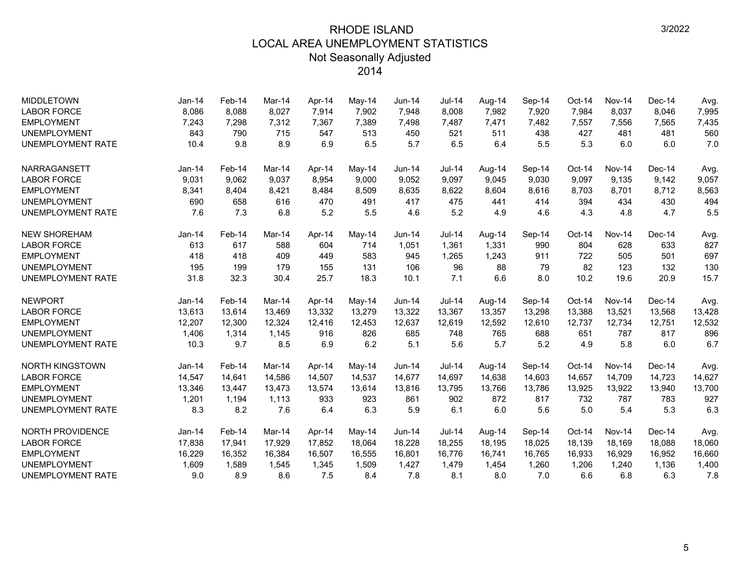| <b>MIDDLETOWN</b>        | Jan-14   | Feb-14 | Mar-14 | Apr-14 | May-14   | $Jun-14$      | <b>Jul-14</b> | Aug-14 | Sep-14 | Oct-14 | Nov-14        | Dec-14   | Avg.   |
|--------------------------|----------|--------|--------|--------|----------|---------------|---------------|--------|--------|--------|---------------|----------|--------|
| <b>LABOR FORCE</b>       | 8,086    | 8,088  | 8,027  | 7,914  | 7,902    | 7,948         | 8,008         | 7,982  | 7,920  | 7,984  | 8,037         | 8,046    | 7,995  |
| <b>EMPLOYMENT</b>        | 7,243    | 7,298  | 7,312  | 7,367  | 7,389    | 7,498         | 7,487         | 7,471  | 7,482  | 7,557  | 7,556         | 7,565    | 7,435  |
| <b>UNEMPLOYMENT</b>      | 843      | 790    | 715    | 547    | 513      | 450           | 521           | 511    | 438    | 427    | 481           | 481      | 560    |
| <b>UNEMPLOYMENT RATE</b> | 10.4     | 9.8    | 8.9    | 6.9    | 6.5      | 5.7           | 6.5           | 6.4    | 5.5    | 5.3    | 6.0           | 6.0      | 7.0    |
| NARRAGANSETT             | Jan-14   | Feb-14 | Mar-14 | Apr-14 | $May-14$ | Jun-14        | <b>Jul-14</b> | Aug-14 | Sep-14 | Oct-14 | <b>Nov-14</b> | Dec-14   | Avg.   |
| <b>LABOR FORCE</b>       | 9,031    | 9,062  | 9.037  | 8,954  | 9,000    | 9,052         | 9,097         | 9,045  | 9,030  | 9,097  | 9.135         | 9,142    | 9,057  |
| <b>EMPLOYMENT</b>        | 8,341    | 8,404  | 8,421  | 8,484  | 8,509    | 8,635         | 8,622         | 8,604  | 8,616  | 8,703  | 8,701         | 8,712    | 8,563  |
| <b>UNEMPLOYMENT</b>      | 690      | 658    | 616    | 470    | 491      | 417           | 475           | 441    | 414    | 394    | 434           | 430      | 494    |
| UNEMPLOYMENT RATE        | 7.6      | 7.3    | 6.8    | 5.2    | 5.5      | 4.6           | 5.2           | 4.9    | 4.6    | 4.3    | 4.8           | 4.7      | 5.5    |
| <b>NEW SHOREHAM</b>      | $Jan-14$ | Feb-14 | Mar-14 | Apr-14 | May-14   | $Jun-14$      | <b>Jul-14</b> | Aug-14 | Sep-14 | Oct-14 | Nov-14        | $Dec-14$ | Avg.   |
| <b>LABOR FORCE</b>       | 613      | 617    | 588    | 604    | 714      | 1,051         | 1,361         | 1,331  | 990    | 804    | 628           | 633      | 827    |
| <b>EMPLOYMENT</b>        | 418      | 418    | 409    | 449    | 583      | 945           | 1,265         | 1,243  | 911    | 722    | 505           | 501      | 697    |
| <b>UNEMPLOYMENT</b>      | 195      | 199    | 179    | 155    | 131      | 106           | 96            | 88     | 79     | 82     | 123           | 132      | 130    |
| UNEMPLOYMENT RATE        | 31.8     | 32.3   | 30.4   | 25.7   | 18.3     | 10.1          | 7.1           | 6.6    | 8.0    | 10.2   | 19.6          | 20.9     | 15.7   |
| <b>NEWPORT</b>           | $Jan-14$ | Feb-14 | Mar-14 | Apr-14 | May-14   | <b>Jun-14</b> | <b>Jul-14</b> | Aug-14 | Sep-14 | Oct-14 | Nov-14        | Dec-14   | Avg.   |
| <b>LABOR FORCE</b>       | 13,613   | 13,614 | 13,469 | 13,332 | 13,279   | 13,322        | 13,367        | 13,357 | 13,298 | 13,388 | 13,521        | 13,568   | 13,428 |
| <b>EMPLOYMENT</b>        | 12,207   | 12,300 | 12,324 | 12,416 | 12,453   | 12,637        | 12,619        | 12,592 | 12,610 | 12,737 | 12,734        | 12,751   | 12,532 |
| <b>UNEMPLOYMENT</b>      | 1,406    | 1,314  | 1,145  | 916    | 826      | 685           | 748           | 765    | 688    | 651    | 787           | 817      | 896    |
| <b>UNEMPLOYMENT RATE</b> | 10.3     | 9.7    | 8.5    | 6.9    | 6.2      | 5.1           | 5.6           | 5.7    | 5.2    | 4.9    | 5.8           | 6.0      | 6.7    |
| <b>NORTH KINGSTOWN</b>   | $Jan-14$ | Feb-14 | Mar-14 | Apr-14 | May-14   | Jun-14        | <b>Jul-14</b> | Aug-14 | Sep-14 | Oct-14 | Nov-14        | $Dec-14$ | Avg.   |
| <b>LABOR FORCE</b>       | 14,547   | 14,641 | 14,586 | 14,507 | 14,537   | 14,677        | 14,697        | 14,638 | 14,603 | 14,657 | 14,709        | 14,723   | 14,627 |
| <b>EMPLOYMENT</b>        | 13,346   | 13,447 | 13.473 | 13,574 | 13,614   | 13,816        | 13.795        | 13,766 | 13,786 | 13,925 | 13,922        | 13,940   | 13,700 |
| <b>UNEMPLOYMENT</b>      | 1,201    | 1,194  | 1,113  | 933    | 923      | 861           | 902           | 872    | 817    | 732    | 787           | 783      | 927    |
| <b>UNEMPLOYMENT RATE</b> | 8.3      | 8.2    | 7.6    | 6.4    | 6.3      | 5.9           | 6.1           | 6.0    | 5.6    | 5.0    | 5.4           | 5.3      | 6.3    |
| <b>NORTH PROVIDENCE</b>  | Jan-14   | Feb-14 | Mar-14 | Apr-14 | May-14   | Jun-14        | $Jul-14$      | Aug-14 | Sep-14 | Oct-14 | Nov-14        | Dec-14   | Avg.   |
| <b>LABOR FORCE</b>       | 17,838   | 17,941 | 17,929 | 17,852 | 18,064   | 18,228        | 18,255        | 18,195 | 18,025 | 18,139 | 18,169        | 18,088   | 18,060 |
| <b>EMPLOYMENT</b>        | 16,229   | 16,352 | 16,384 | 16,507 | 16,555   | 16,801        | 16,776        | 16,741 | 16,765 | 16,933 | 16,929        | 16,952   | 16,660 |
| <b>UNEMPLOYMENT</b>      | 1,609    | 1,589  | 1,545  | 1,345  | 1,509    | 1,427         | 1,479         | 1,454  | 1,260  | 1,206  | 1,240         | 1,136    | 1,400  |
| <b>UNEMPLOYMENT RATE</b> | 9.0      | 8.9    | 8.6    | 7.5    | 8.4      | 7.8           | 8.1           | 8.0    | 7.0    | 6.6    | 6.8           | 6.3      | 7.8    |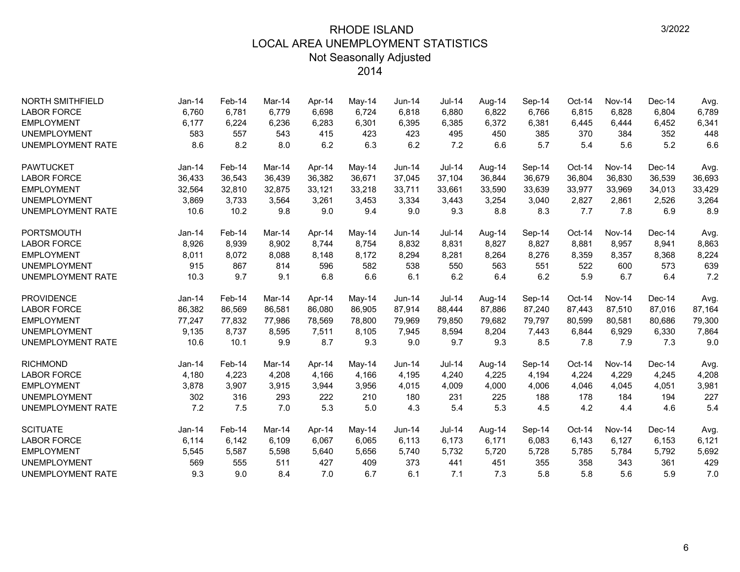| <b>NORTH SMITHFIELD</b>  | $Jan-14$      | Feb-14 | Mar-14 | Apr-14 | May-14 | Jun-14        | Jul-14        | Aug-14 | Sep-14 | Oct-14   | Nov-14        | Dec-14   | Avg.   |
|--------------------------|---------------|--------|--------|--------|--------|---------------|---------------|--------|--------|----------|---------------|----------|--------|
| <b>LABOR FORCE</b>       | 6,760         | 6,781  | 6.779  | 6,698  | 6,724  | 6.818         | 6,880         | 6,822  | 6.766  | 6,815    | 6,828         | 6,804    | 6.789  |
| <b>EMPLOYMENT</b>        | 6,177         | 6,224  | 6,236  | 6,283  | 6,301  | 6,395         | 6,385         | 6,372  | 6,381  | 6,445    | 6,444         | 6,452    | 6,341  |
| <b>UNEMPLOYMENT</b>      | 583           | 557    | 543    | 415    | 423    | 423           | 495           | 450    | 385    | 370      | 384           | 352      | 448    |
| <b>UNEMPLOYMENT RATE</b> | 8.6           | 8.2    | 8.0    | 6.2    | 6.3    | 6.2           | 7.2           | 6.6    | 5.7    | 5.4      | 5.6           | 5.2      | 6.6    |
| <b>PAWTUCKET</b>         | $Jan-14$      | Feb-14 | Mar-14 | Apr-14 | May-14 | $Jun-14$      | $Jul-14$      | Aug-14 | Sep-14 | Oct-14   | Nov-14        | Dec-14   | Avg.   |
| <b>LABOR FORCE</b>       | 36,433        | 36,543 | 36,439 | 36,382 | 36,671 | 37,045        | 37,104        | 36,844 | 36,679 | 36,804   | 36,830        | 36,539   | 36,693 |
| <b>EMPLOYMENT</b>        | 32,564        | 32,810 | 32,875 | 33,121 | 33,218 | 33,711        | 33,661        | 33,590 | 33,639 | 33,977   | 33,969        | 34,013   | 33,429 |
| <b>UNEMPLOYMENT</b>      | 3,869         | 3,733  | 3,564  | 3,261  | 3,453  | 3,334         | 3,443         | 3,254  | 3,040  | 2,827    | 2,861         | 2,526    | 3,264  |
| UNEMPLOYMENT RATE        | 10.6          | 10.2   | 9.8    | 9.0    | 9.4    | 9.0           | 9.3           | 8.8    | 8.3    | 7.7      | 7.8           | 6.9      | 8.9    |
| <b>PORTSMOUTH</b>        | <b>Jan-14</b> | Feb-14 | Mar-14 | Apr-14 | May-14 | Jun-14        | Jul-14        | Aug-14 | Sep-14 | Oct-14   | <b>Nov-14</b> | $Dec-14$ | Avg.   |
| <b>LABOR FORCE</b>       | 8,926         | 8,939  | 8,902  | 8,744  | 8,754  | 8,832         | 8,831         | 8,827  | 8,827  | 8,881    | 8,957         | 8,941    | 8,863  |
| <b>EMPLOYMENT</b>        | 8,011         | 8,072  | 8,088  | 8,148  | 8,172  | 8,294         | 8,281         | 8,264  | 8,276  | 8,359    | 8,357         | 8,368    | 8,224  |
| <b>UNEMPLOYMENT</b>      | 915           | 867    | 814    | 596    | 582    | 538           | 550           | 563    | 551    | 522      | 600           | 573      | 639    |
| <b>UNEMPLOYMENT RATE</b> | 10.3          | 9.7    | 9.1    | 6.8    | 6.6    | 6.1           | 6.2           | 6.4    | 6.2    | 5.9      | 6.7           | 6.4      | 7.2    |
| <b>PROVIDENCE</b>        | $Jan-14$      | Feb-14 | Mar-14 | Apr-14 | May-14 | $Jun-14$      | $Jul-14$      | Aug-14 | Sep-14 | $Oct-14$ | Nov-14        | $Dec-14$ | Avg.   |
| <b>LABOR FORCE</b>       | 86,382        | 86,569 | 86,581 | 86,080 | 86,905 | 87,914        | 88,444        | 87,886 | 87,240 | 87,443   | 87,510        | 87,016   | 87,164 |
| <b>EMPLOYMENT</b>        | 77,247        | 77,832 | 77.986 | 78,569 | 78,800 | 79,969        | 79,850        | 79,682 | 79,797 | 80,599   | 80,581        | 80,686   | 79,300 |
| <b>UNEMPLOYMENT</b>      | 9,135         | 8,737  | 8,595  | 7,511  | 8,105  | 7,945         | 8,594         | 8,204  | 7,443  | 6,844    | 6,929         | 6,330    | 7,864  |
| <b>UNEMPLOYMENT RATE</b> | 10.6          | 10.1   | 9.9    | 8.7    | 9.3    | 9.0           | 9.7           | 9.3    | 8.5    | 7.8      | 7.9           | 7.3      | 9.0    |
| <b>RICHMOND</b>          | Jan-14        | Feb-14 | Mar-14 | Apr-14 | May-14 | <b>Jun-14</b> | <b>Jul-14</b> | Aug-14 | Sep-14 | Oct-14   | Nov-14        | $Dec-14$ | Avg.   |
| <b>LABOR FORCE</b>       | 4,180         | 4,223  | 4,208  | 4,166  | 4,166  | 4,195         | 4,240         | 4,225  | 4,194  | 4,224    | 4,229         | 4,245    | 4,208  |
| <b>EMPLOYMENT</b>        | 3,878         | 3,907  | 3,915  | 3,944  | 3,956  | 4,015         | 4,009         | 4,000  | 4,006  | 4,046    | 4,045         | 4,051    | 3,981  |
| <b>UNEMPLOYMENT</b>      | 302           | 316    | 293    | 222    | 210    | 180           | 231           | 225    | 188    | 178      | 184           | 194      | 227    |
| <b>UNEMPLOYMENT RATE</b> | 7.2           | 7.5    | 7.0    | 5.3    | 5.0    | 4.3           | 5.4           | 5.3    | 4.5    | 4.2      | 4.4           | 4.6      | 5.4    |
| <b>SCITUATE</b>          | $Jan-14$      | Feb-14 | Mar-14 | Apr-14 | May-14 | $Jun-14$      | Jul-14        | Aug-14 | Sep-14 | $Oct-14$ | Nov-14        | $Dec-14$ | Avg.   |
| <b>LABOR FORCE</b>       | 6,114         | 6,142  | 6,109  | 6,067  | 6,065  | 6,113         | 6,173         | 6,171  | 6,083  | 6,143    | 6,127         | 6,153    | 6,121  |
| <b>EMPLOYMENT</b>        | 5,545         | 5,587  | 5,598  | 5,640  | 5,656  | 5,740         | 5,732         | 5,720  | 5,728  | 5,785    | 5,784         | 5,792    | 5,692  |
| <b>UNEMPLOYMENT</b>      | 569           | 555    | 511    | 427    | 409    | 373           | 441           | 451    | 355    | 358      | 343           | 361      | 429    |
| <b>UNEMPLOYMENT RATE</b> | 9.3           | 9.0    | 8.4    | 7.0    | 6.7    | 6.1           | 7.1           | 7.3    | 5.8    | 5.8      | 5.6           | 5.9      | 7.0    |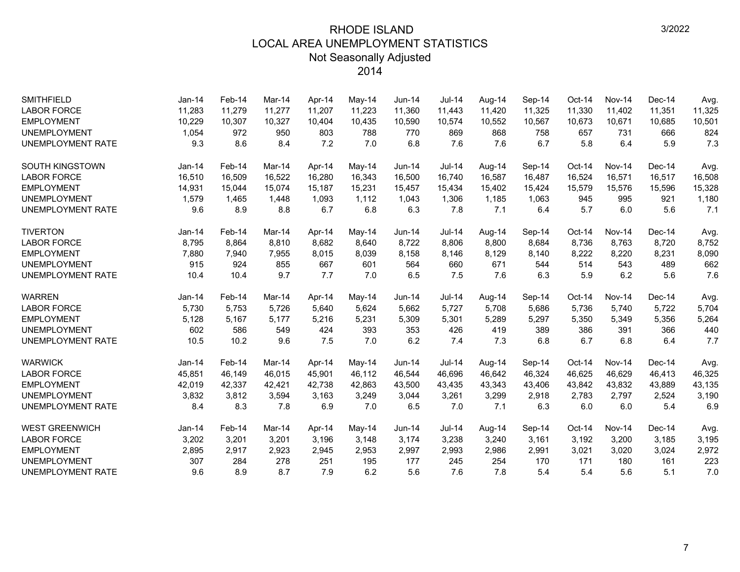| <b>SMITHFIELD</b>        | $Jan-14$ | Feb-14 | Mar-14 | Apr-14 | May-14   | Jun-14   | <b>Jul-14</b> | Aug-14 | Sep-14 | Oct-14   | <b>Nov-14</b> | Dec-14   | Avg.   |
|--------------------------|----------|--------|--------|--------|----------|----------|---------------|--------|--------|----------|---------------|----------|--------|
| <b>LABOR FORCE</b>       | 11,283   | 11,279 | 11,277 | 11,207 | 11,223   | 11,360   | 11,443        | 11,420 | 11,325 | 11,330   | 11,402        | 11,351   | 11,325 |
| <b>EMPLOYMENT</b>        | 10,229   | 10,307 | 10,327 | 10,404 | 10,435   | 10,590   | 10,574        | 10,552 | 10,567 | 10,673   | 10,671        | 10,685   | 10,501 |
| <b>UNEMPLOYMENT</b>      | 1,054    | 972    | 950    | 803    | 788      | 770      | 869           | 868    | 758    | 657      | 731           | 666      | 824    |
| <b>UNEMPLOYMENT RATE</b> | 9.3      | 8.6    | 8.4    | 7.2    | 7.0      | 6.8      | 7.6           | 7.6    | 6.7    | 5.8      | 6.4           | 5.9      | 7.3    |
| <b>SOUTH KINGSTOWN</b>   | $Jan-14$ | Feb-14 | Mar-14 | Apr-14 | May-14   | Jun-14   | $Jul-14$      | Aug-14 | Sep-14 | Oct-14   | <b>Nov-14</b> | $Dec-14$ | Avg.   |
| <b>LABOR FORCE</b>       | 16,510   | 16,509 | 16,522 | 16,280 | 16,343   | 16,500   | 16,740        | 16,587 | 16,487 | 16,524   | 16,571        | 16,517   | 16,508 |
| <b>EMPLOYMENT</b>        | 14,931   | 15,044 | 15,074 | 15,187 | 15,231   | 15,457   | 15,434        | 15,402 | 15,424 | 15,579   | 15,576        | 15,596   | 15,328 |
| <b>UNEMPLOYMENT</b>      | 1,579    | 1.465  | 1.448  | 1,093  | 1.112    | 1.043    | 1,306         | 1,185  | 1,063  | 945      | 995           | 921      | 1,180  |
| <b>UNEMPLOYMENT RATE</b> | 9.6      | 8.9    | 8.8    | 6.7    | 6.8      | 6.3      | 7.8           | 7.1    | 6.4    | 5.7      | 6.0           | 5.6      | 7.1    |
| <b>TIVERTON</b>          | $Jan-14$ | Feb-14 | Mar-14 | Apr-14 | May-14   | Jun-14   | Jul-14        | Aug-14 | Sep-14 | Oct-14   | <b>Nov-14</b> | $Dec-14$ | Avg.   |
| <b>LABOR FORCE</b>       | 8,795    | 8,864  | 8.810  | 8,682  | 8,640    | 8,722    | 8,806         | 8,800  | 8,684  | 8,736    | 8,763         | 8,720    | 8,752  |
| <b>EMPLOYMENT</b>        | 7,880    | 7,940  | 7,955  | 8,015  | 8,039    | 8,158    | 8,146         | 8,129  | 8,140  | 8,222    | 8,220         | 8,231    | 8,090  |
| <b>UNEMPLOYMENT</b>      | 915      | 924    | 855    | 667    | 601      | 564      | 660           | 671    | 544    | 514      | 543           | 489      | 662    |
| <b>UNEMPLOYMENT RATE</b> | 10.4     | 10.4   | 9.7    | 7.7    | 7.0      | 6.5      | 7.5           | 7.6    | 6.3    | 5.9      | 6.2           | 5.6      | 7.6    |
| <b>WARREN</b>            | Jan-14   | Feb-14 | Mar-14 | Apr-14 | May-14   | Jun-14   | <b>Jul-14</b> | Aug-14 | Sep-14 | $Oct-14$ | <b>Nov-14</b> | $Dec-14$ | Avg.   |
| <b>LABOR FORCE</b>       | 5,730    | 5,753  | 5,726  | 5,640  | 5,624    | 5,662    | 5,727         | 5,708  | 5,686  | 5,736    | 5,740         | 5,722    | 5,704  |
| <b>EMPLOYMENT</b>        | 5,128    | 5,167  | 5,177  | 5,216  | 5,231    | 5,309    | 5,301         | 5,289  | 5,297  | 5,350    | 5,349         | 5,356    | 5,264  |
| <b>UNEMPLOYMENT</b>      | 602      | 586    | 549    | 424    | 393      | 353      | 426           | 419    | 389    | 386      | 391           | 366      | 440    |
| <b>UNEMPLOYMENT RATE</b> | 10.5     | 10.2   | 9.6    | 7.5    | 7.0      | 6.2      | 7.4           | 7.3    | 6.8    | 6.7      | 6.8           | 6.4      | 7.7    |
| <b>WARWICK</b>           | Jan-14   | Feb-14 | Mar-14 | Apr-14 | $May-14$ | $Jun-14$ | $Jul-14$      | Aug-14 | Sep-14 | Oct-14   | <b>Nov-14</b> | $Dec-14$ | Avg.   |
| <b>LABOR FORCE</b>       | 45,851   | 46,149 | 46,015 | 45,901 | 46,112   | 46,544   | 46,696        | 46,642 | 46,324 | 46,625   | 46,629        | 46,413   | 46,325 |
| <b>EMPLOYMENT</b>        | 42,019   | 42,337 | 42.421 | 42.738 | 42,863   | 43,500   | 43,435        | 43,343 | 43,406 | 43,842   | 43,832        | 43,889   | 43,135 |
| <b>UNEMPLOYMENT</b>      | 3,832    | 3,812  | 3,594  | 3,163  | 3,249    | 3,044    | 3,261         | 3,299  | 2,918  | 2,783    | 2,797         | 2,524    | 3,190  |
| <b>UNEMPLOYMENT RATE</b> | 8.4      | 8.3    | 7.8    | 6.9    | 7.0      | 6.5      | 7.0           | 7.1    | 6.3    | 6.0      | 6.0           | 5.4      | 6.9    |
| <b>WEST GREENWICH</b>    | $Jan-14$ | Feb-14 | Mar-14 | Apr-14 | May-14   | Jun-14   | <b>Jul-14</b> | Aug-14 | Sep-14 | Oct-14   | <b>Nov-14</b> | $Dec-14$ | Avg.   |
| <b>LABOR FORCE</b>       | 3,202    | 3,201  | 3,201  | 3,196  | 3,148    | 3,174    | 3,238         | 3,240  | 3,161  | 3,192    | 3,200         | 3,185    | 3,195  |
| <b>EMPLOYMENT</b>        | 2,895    | 2,917  | 2,923  | 2,945  | 2,953    | 2,997    | 2,993         | 2,986  | 2,991  | 3,021    | 3,020         | 3,024    | 2,972  |
| <b>UNEMPLOYMENT</b>      | 307      | 284    | 278    | 251    | 195      | 177      | 245           | 254    | 170    | 171      | 180           | 161      | 223    |
| UNEMPLOYMENT RATE        | 9.6      | 8.9    | 8.7    | 7.9    | 6.2      | 5.6      | 7.6           | 7.8    | 5.4    | 5.4      | 5.6           | 5.1      | 7.0    |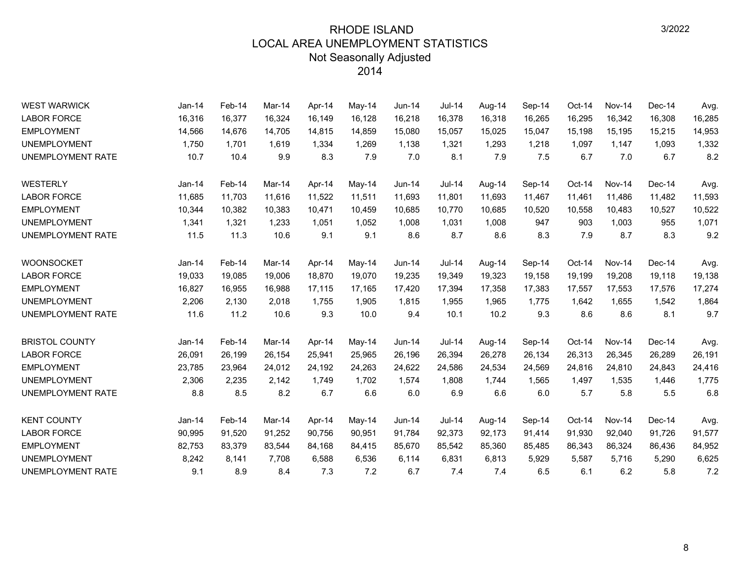| <b>WEST WARWICK</b>      | Jan-14   | Feb-14 | Mar-14 | Apr-14 | May-14 | Jun-14 | Jul-14        | Aug-14 | Sep-14 | Oct-14   | <b>Nov-14</b> | Dec-14 | Avg.   |
|--------------------------|----------|--------|--------|--------|--------|--------|---------------|--------|--------|----------|---------------|--------|--------|
| <b>LABOR FORCE</b>       | 16,316   | 16,377 | 16,324 | 16,149 | 16,128 | 16,218 | 16,378        | 16,318 | 16,265 | 16,295   | 16,342        | 16,308 | 16,285 |
| <b>EMPLOYMENT</b>        | 14,566   | 14,676 | 14,705 | 14,815 | 14,859 | 15,080 | 15,057        | 15,025 | 15,047 | 15,198   | 15,195        | 15,215 | 14,953 |
| <b>UNEMPLOYMENT</b>      | 1,750    | 1,701  | 1.619  | 1,334  | 1,269  | 1,138  | 1,321         | 1,293  | 1,218  | 1,097    | 1,147         | 1,093  | 1,332  |
| <b>UNEMPLOYMENT RATE</b> | 10.7     | 10.4   | 9.9    | 8.3    | 7.9    | 7.0    | 8.1           | 7.9    | 7.5    | 6.7      | 7.0           | 6.7    | 8.2    |
| WESTERLY                 | Jan-14   | Feb-14 | Mar-14 | Apr-14 | May-14 | Jun-14 | <b>Jul-14</b> | Aug-14 | Sep-14 | Oct-14   | <b>Nov-14</b> | Dec-14 | Avg.   |
| <b>LABOR FORCE</b>       | 11,685   | 11,703 | 11,616 | 11,522 | 11,511 | 11,693 | 11,801        | 11,693 | 11,467 | 11,461   | 11,486        | 11,482 | 11,593 |
| <b>EMPLOYMENT</b>        | 10,344   | 10,382 | 10,383 | 10,471 | 10,459 | 10,685 | 10,770        | 10,685 | 10,520 | 10,558   | 10,483        | 10,527 | 10,522 |
| <b>UNEMPLOYMENT</b>      | 1,341    | 1,321  | 1,233  | 1,051  | 1,052  | 1,008  | 1,031         | 1,008  | 947    | 903      | 1.003         | 955    | 1,071  |
| UNEMPLOYMENT RATE        | 11.5     | 11.3   | 10.6   | 9.1    | 9.1    | 8.6    | 8.7           | 8.6    | 8.3    | 7.9      | 8.7           | 8.3    | 9.2    |
| <b>WOONSOCKET</b>        | $Jan-14$ | Feb-14 | Mar-14 | Apr-14 | May-14 | Jun-14 | <b>Jul-14</b> | Aug-14 | Sep-14 | Oct-14   | Nov-14        | Dec-14 | Avg.   |
| <b>LABOR FORCE</b>       | 19,033   | 19,085 | 19,006 | 18,870 | 19,070 | 19,235 | 19,349        | 19,323 | 19,158 | 19,199   | 19,208        | 19,118 | 19,138 |
| <b>EMPLOYMENT</b>        | 16,827   | 16,955 | 16,988 | 17,115 | 17,165 | 17,420 | 17,394        | 17,358 | 17,383 | 17,557   | 17,553        | 17,576 | 17,274 |
| <b>UNEMPLOYMENT</b>      | 2,206    | 2,130  | 2,018  | 1,755  | 1,905  | 1,815  | 1,955         | 1,965  | 1.775  | 1,642    | 1,655         | 1,542  | 1,864  |
| UNEMPLOYMENT RATE        | 11.6     | 11.2   | 10.6   | 9.3    | 10.0   | 9.4    | 10.1          | 10.2   | 9.3    | 8.6      | 8.6           | 8.1    | 9.7    |
| <b>BRISTOL COUNTY</b>    | $Jan-14$ | Feb-14 | Mar-14 | Apr-14 | May-14 | Jun-14 | <b>Jul-14</b> | Aug-14 | Sep-14 | $Oct-14$ | <b>Nov-14</b> | Dec-14 | Avg.   |
| <b>LABOR FORCE</b>       | 26,091   | 26,199 | 26,154 | 25,941 | 25,965 | 26,196 | 26,394        | 26,278 | 26,134 | 26,313   | 26,345        | 26,289 | 26,191 |
| <b>EMPLOYMENT</b>        | 23,785   | 23,964 | 24,012 | 24,192 | 24,263 | 24,622 | 24,586        | 24,534 | 24,569 | 24,816   | 24,810        | 24,843 | 24,416 |
| <b>UNEMPLOYMENT</b>      | 2,306    | 2,235  | 2,142  | 1,749  | 1,702  | 1,574  | 1,808         | 1,744  | 1,565  | 1,497    | 1,535         | 1,446  | 1,775  |
| UNEMPLOYMENT RATE        | 8.8      | 8.5    | 8.2    | 6.7    | 6.6    | 6.0    | 6.9           | 6.6    | 6.0    | 5.7      | 5.8           | 5.5    | 6.8    |
| <b>KENT COUNTY</b>       | Jan-14   | Feb-14 | Mar-14 | Apr-14 | May-14 | Jun-14 | <b>Jul-14</b> | Aug-14 | Sep-14 | Oct-14   | Nov-14        | Dec-14 | Avg.   |
| <b>LABOR FORCE</b>       | 90,995   | 91,520 | 91,252 | 90,756 | 90,951 | 91,784 | 92,373        | 92,173 | 91,414 | 91,930   | 92,040        | 91,726 | 91,577 |
| <b>EMPLOYMENT</b>        | 82,753   | 83,379 | 83,544 | 84,168 | 84,415 | 85,670 | 85,542        | 85,360 | 85,485 | 86,343   | 86,324        | 86,436 | 84,952 |
| <b>UNEMPLOYMENT</b>      | 8,242    | 8,141  | 7,708  | 6,588  | 6,536  | 6,114  | 6,831         | 6,813  | 5,929  | 5,587    | 5,716         | 5,290  | 6,625  |
| UNEMPLOYMENT RATE        | 9.1      | 8.9    | 8.4    | 7.3    | 7.2    | 6.7    | 7.4           | 7.4    | 6.5    | 6.1      | 6.2           | 5.8    | 7.2    |